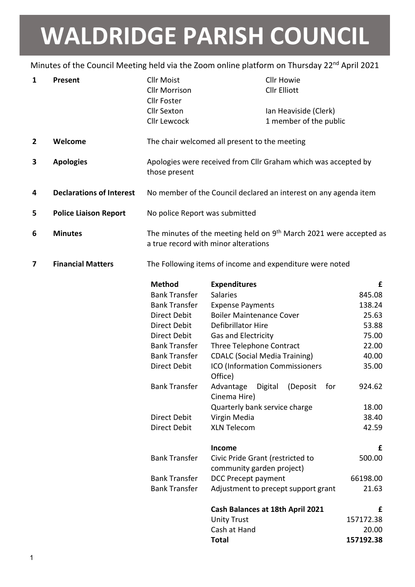## WALDRIDGE PARISH COUNCIL

## Minutes of the Council Meeting held via the Zoom online platform on Thursday 22<sup>nd</sup> April 2021

| 1            | <b>Present</b>                  | <b>Cllr Moist</b><br><b>Cllr Morrison</b><br><b>Cllr Foster</b> | <b>Cllr Howie</b><br><b>Cllr Elliott</b>                                                                               |           |
|--------------|---------------------------------|-----------------------------------------------------------------|------------------------------------------------------------------------------------------------------------------------|-----------|
|              |                                 | <b>Cllr Sexton</b>                                              | Ian Heaviside (Clerk)                                                                                                  |           |
|              |                                 | <b>Cllr Lewcock</b>                                             | 1 member of the public                                                                                                 |           |
| $\mathbf{2}$ | Welcome                         |                                                                 | The chair welcomed all present to the meeting                                                                          |           |
| 3            | <b>Apologies</b>                | those present                                                   | Apologies were received from Cllr Graham which was accepted by                                                         |           |
| 4            | <b>Declarations of Interest</b> |                                                                 | No member of the Council declared an interest on any agenda item                                                       |           |
| 5            | <b>Police Liaison Report</b>    | No police Report was submitted                                  |                                                                                                                        |           |
| 6            | <b>Minutes</b>                  |                                                                 | The minutes of the meeting held on 9 <sup>th</sup> March 2021 were accepted as<br>a true record with minor alterations |           |
| 7            | <b>Financial Matters</b>        |                                                                 | The Following items of income and expenditure were noted                                                               |           |
|              |                                 | <b>Method</b>                                                   | <b>Expenditures</b>                                                                                                    | £         |
|              |                                 | <b>Bank Transfer</b>                                            | <b>Salaries</b>                                                                                                        | 845.08    |
|              |                                 | <b>Bank Transfer</b>                                            | <b>Expense Payments</b>                                                                                                | 138.24    |
|              |                                 | <b>Direct Debit</b>                                             | <b>Boiler Maintenance Cover</b>                                                                                        | 25.63     |
|              |                                 | Direct Debit                                                    | Defibrillator Hire                                                                                                     | 53.88     |
|              |                                 | Direct Debit                                                    | Gas and Electricity                                                                                                    | 75.00     |
|              |                                 | <b>Bank Transfer</b>                                            | Three Telephone Contract                                                                                               | 22.00     |
|              |                                 | <b>Bank Transfer</b>                                            | <b>CDALC (Social Media Training)</b>                                                                                   | 40.00     |
|              |                                 | <b>Direct Debit</b>                                             | ICO (Information Commissioners<br>Office)                                                                              | 35.00     |
|              |                                 | <b>Bank Transfer</b>                                            | Digital (Deposit for<br>Advantage<br>Cinema Hire)                                                                      | 924.62    |
|              |                                 |                                                                 | Quarterly bank service charge                                                                                          | 18.00     |
|              |                                 | <b>Direct Debit</b>                                             | Virgin Media                                                                                                           | 38.40     |
|              |                                 | <b>Direct Debit</b>                                             | <b>XLN Telecom</b>                                                                                                     | 42.59     |
|              |                                 |                                                                 | Income                                                                                                                 | £         |
|              |                                 | <b>Bank Transfer</b>                                            | Civic Pride Grant (restricted to                                                                                       | 500.00    |
|              |                                 |                                                                 | community garden project)                                                                                              |           |
|              |                                 | <b>Bank Transfer</b>                                            | <b>DCC Precept payment</b>                                                                                             | 66198.00  |
|              |                                 | <b>Bank Transfer</b>                                            | Adjustment to precept support grant                                                                                    | 21.63     |
|              |                                 |                                                                 | Cash Balances at 18th April 2021                                                                                       | £         |
|              |                                 |                                                                 | <b>Unity Trust</b>                                                                                                     | 157172.38 |
|              |                                 |                                                                 | Cash at Hand                                                                                                           | 20.00     |
|              |                                 |                                                                 | <b>Total</b>                                                                                                           | 157192.38 |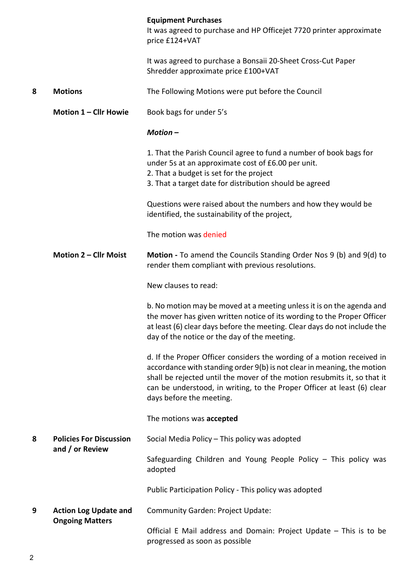|   |                                                        | <b>Equipment Purchases</b><br>It was agreed to purchase and HP Officejet 7720 printer approximate<br>price £124+VAT                                                                                                                                                                                                                  |  |  |
|---|--------------------------------------------------------|--------------------------------------------------------------------------------------------------------------------------------------------------------------------------------------------------------------------------------------------------------------------------------------------------------------------------------------|--|--|
|   |                                                        | It was agreed to purchase a Bonsaii 20-Sheet Cross-Cut Paper<br>Shredder approximate price £100+VAT                                                                                                                                                                                                                                  |  |  |
| 8 | <b>Motions</b>                                         | The Following Motions were put before the Council                                                                                                                                                                                                                                                                                    |  |  |
|   | Motion 1 - Cllr Howie                                  | Book bags for under 5's                                                                                                                                                                                                                                                                                                              |  |  |
|   |                                                        | Motion-                                                                                                                                                                                                                                                                                                                              |  |  |
|   |                                                        | 1. That the Parish Council agree to fund a number of book bags for<br>under 5s at an approximate cost of £6.00 per unit.<br>2. That a budget is set for the project<br>3. That a target date for distribution should be agreed                                                                                                       |  |  |
|   |                                                        | Questions were raised about the numbers and how they would be<br>identified, the sustainability of the project,                                                                                                                                                                                                                      |  |  |
|   |                                                        | The motion was denied                                                                                                                                                                                                                                                                                                                |  |  |
|   | Motion 2 - Cllr Moist                                  | Motion - To amend the Councils Standing Order Nos 9 (b) and 9(d) to<br>render them compliant with previous resolutions.                                                                                                                                                                                                              |  |  |
|   |                                                        | New clauses to read:                                                                                                                                                                                                                                                                                                                 |  |  |
|   |                                                        | b. No motion may be moved at a meeting unless it is on the agenda and<br>the mover has given written notice of its wording to the Proper Officer<br>at least (6) clear days before the meeting. Clear days do not include the<br>day of the notice or the day of the meeting.                                                        |  |  |
|   |                                                        | d. If the Proper Officer considers the wording of a motion received in<br>accordance with standing order 9(b) is not clear in meaning, the motion<br>shall be rejected until the mover of the motion resubmits it, so that it<br>can be understood, in writing, to the Proper Officer at least (6) clear<br>days before the meeting. |  |  |
|   |                                                        | The motions was accepted                                                                                                                                                                                                                                                                                                             |  |  |
| 8 | <b>Policies For Discussion</b><br>and / or Review      | Social Media Policy - This policy was adopted                                                                                                                                                                                                                                                                                        |  |  |
|   |                                                        | Safeguarding Children and Young People Policy - This policy was<br>adopted                                                                                                                                                                                                                                                           |  |  |
|   |                                                        | Public Participation Policy - This policy was adopted                                                                                                                                                                                                                                                                                |  |  |
| 9 | <b>Action Log Update and</b><br><b>Ongoing Matters</b> | Community Garden: Project Update:                                                                                                                                                                                                                                                                                                    |  |  |
|   |                                                        | Official E Mail address and Domain: Project Update - This is to be<br>progressed as soon as possible                                                                                                                                                                                                                                 |  |  |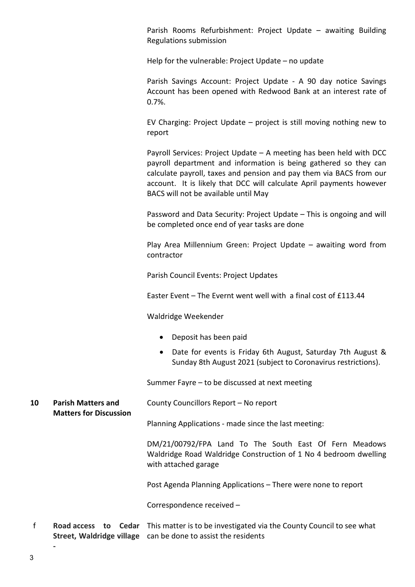Parish Rooms Refurbishment: Project Update – awaiting Building Regulations submission

Help for the vulnerable: Project Update – no update

 Parish Savings Account: Project Update - A 90 day notice Savings Account has been opened with Redwood Bank at an interest rate of 0.7%.

 EV Charging: Project Update – project is still moving nothing new to report

 Payroll Services: Project Update – A meeting has been held with DCC payroll department and information is being gathered so they can calculate payroll, taxes and pension and pay them via BACS from our account. It is likely that DCC will calculate April payments however BACS will not be available until May

 Password and Data Security: Project Update – This is ongoing and will be completed once end of year tasks are done

 Play Area Millennium Green: Project Update – awaiting word from contractor

Parish Council Events: Project Updates

Easter Event – The Evernt went well with a final cost of £113.44

Waldridge Weekender

- Deposit has been paid
- Date for events is Friday 6th August, Saturday 7th August & Sunday 8th August 2021 (subject to Coronavirus restrictions).

Summer Fayre – to be discussed at next meeting

10 Parish Matters and County Councillors Report – No report

Matters for Discussion

Planning Applications - made since the last meeting:

DM/21/00792/FPA Land To The South East Of Fern Meadows Waldridge Road Waldridge Construction of 1 No 4 bedroom dwelling with attached garage

Post Agenda Planning Applications – There were none to report

Correspondence received –

f Road access to Cedar This matter is to be investigated via the County Council to see what Street, Waldridge village can be done to assist the residents

-